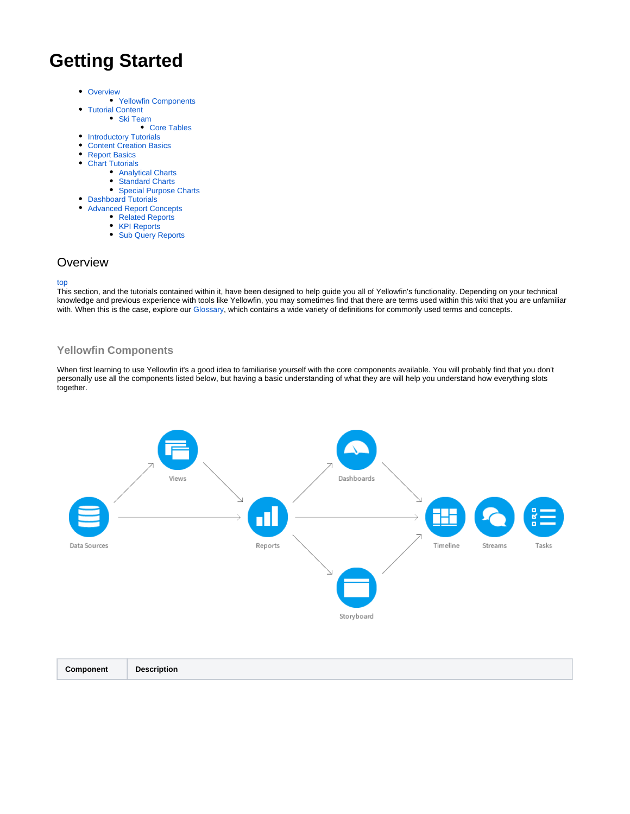# <span id="page-0-2"></span>**Getting Started**

• [Overview](#page-0-0)

 $\bullet$ 

- [Yellowfin Components](#page-0-1)
- [Tutorial Content](#page-2-0)
	- [Ski Team](#page-2-1)
	- [Core Tables](#page-2-2)
- [Introductory Tutorials](#page-2-3)  $\bullet$
- [Content Creation Basics](#page-2-4)
- [Report Basics](#page-3-0) • [Chart Tutorials](#page-3-1)
	-
	- [Analytical Charts](#page-3-2)
	- [Standard Charts](#page-3-2) • [Special Purpose Charts](#page-3-2)
- [Dashboard Tutorials](#page-3-3)
- [Advanced Report Concepts](#page-3-4)
	- [Related Reports](#page-3-5)
		- [KPI Reports](#page-3-5)
		- [Sub Query Reports](#page-3-5)

### <span id="page-0-0"></span>**Overview**

#### [top](#page-0-2)

This section, and the tutorials contained within it, have been designed to help guide you all of Yellowfin's functionality. Depending on your technical knowledge and previous experience with tools like Yellowfin, you may sometimes find that there are terms used within this wiki that you are unfamiliar with. When this is the case, explore our [Glossary,](https://wiki.yellowfinbi.com/display/USER73Plus/Glossary) which contains a wide variety of definitions for commonly used terms and concepts.

### <span id="page-0-1"></span>**Yellowfin Components**

When first learning to use Yellowfin it's a good idea to familiarise yourself with the core components available. You will probably find that you don't personally use all the components listed below, but having a basic understanding of what they are will help you understand how everything slots together.



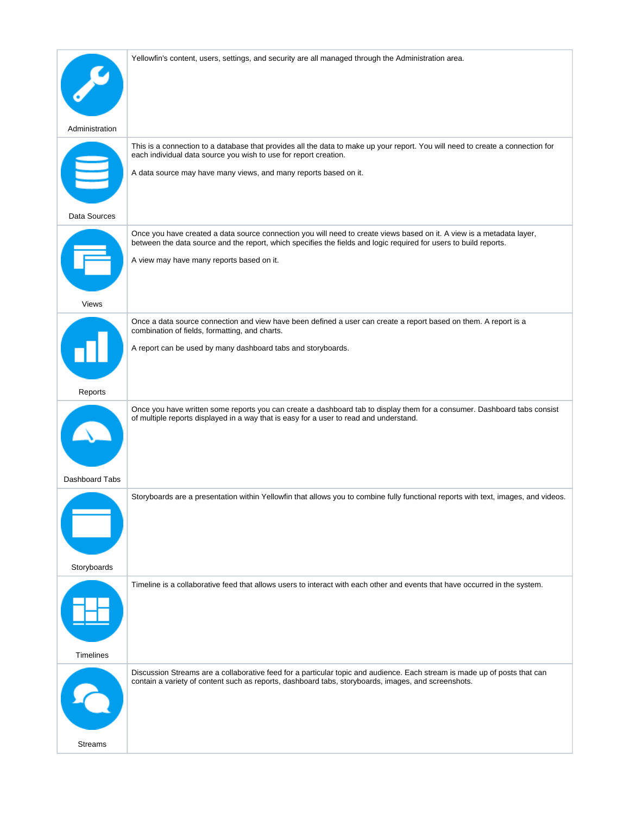| This is a connection to a database that provides all the data to make up your report. You will need to create a connection for<br>each individual data source you wish to use for report creation.<br>A data source may have many views, and many reports based on it.                  |
|-----------------------------------------------------------------------------------------------------------------------------------------------------------------------------------------------------------------------------------------------------------------------------------------|
|                                                                                                                                                                                                                                                                                         |
| Once you have created a data source connection you will need to create views based on it. A view is a metadata layer,<br>between the data source and the report, which specifies the fields and logic required for users to build reports.<br>A view may have many reports based on it. |
|                                                                                                                                                                                                                                                                                         |
| Once a data source connection and view have been defined a user can create a report based on them. A report is a<br>combination of fields, formatting, and charts.<br>A report can be used by many dashboard tabs and storyboards.                                                      |
|                                                                                                                                                                                                                                                                                         |
| Once you have written some reports you can create a dashboard tab to display them for a consumer. Dashboard tabs consist<br>of multiple reports displayed in a way that is easy for a user to read and understand.                                                                      |
|                                                                                                                                                                                                                                                                                         |
| Storyboards are a presentation within Yellowfin that allows you to combine fully functional reports with text, images, and videos.                                                                                                                                                      |
|                                                                                                                                                                                                                                                                                         |
| Timeline is a collaborative feed that allows users to interact with each other and events that have occurred in the system.                                                                                                                                                             |
|                                                                                                                                                                                                                                                                                         |
| Discussion Streams are a collaborative feed for a particular topic and audience. Each stream is made up of posts that can<br>contain a variety of content such as reports, dashboard tabs, storyboards, images, and screenshots.                                                        |
|                                                                                                                                                                                                                                                                                         |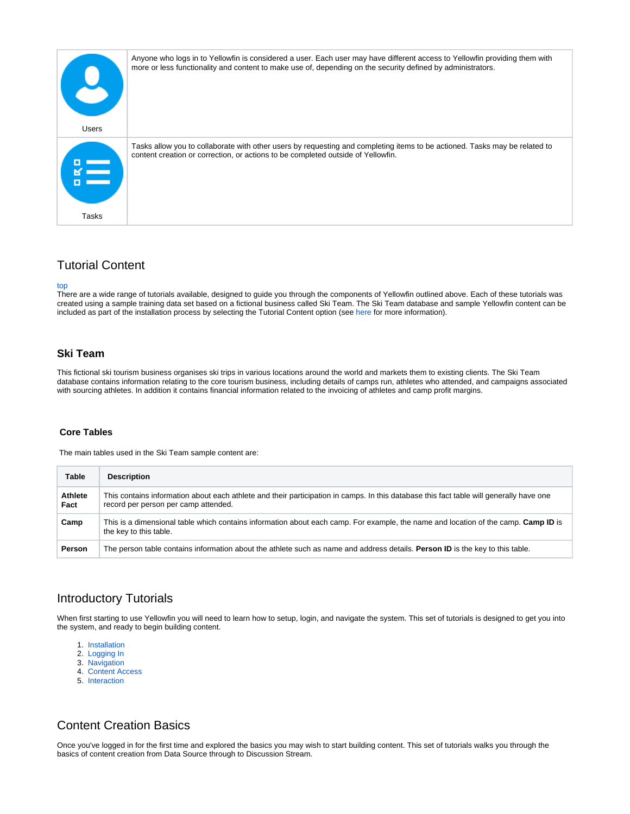| <b>Users</b> | Anyone who logs in to Yellowfin is considered a user. Each user may have different access to Yellowfin providing them with<br>more or less functionality and content to make use of, depending on the security defined by administrators. |
|--------------|-------------------------------------------------------------------------------------------------------------------------------------------------------------------------------------------------------------------------------------------|
|              | Tasks allow you to collaborate with other users by requesting and completing items to be actioned. Tasks may be related to<br>content creation or correction, or actions to be completed outside of Yellowfin.                            |
| Tasks        |                                                                                                                                                                                                                                           |

## <span id="page-2-0"></span>Tutorial Content

[top](#page-0-2)

There are a wide range of tutorials available, designed to guide you through the components of Yellowfin outlined above. Each of these tutorials was created using a sample training data set based on a fictional business called Ski Team. The Ski Team database and sample Yellowfin content can be included as part of the installation process by selecting the Tutorial Content option (see [here](https://wiki.yellowfinbi.com/display/USER73Plus/Installation) for more information).

### <span id="page-2-1"></span>**Ski Team**

This fictional ski tourism business organises ski trips in various locations around the world and markets them to existing clients. The Ski Team database contains information relating to the core tourism business, including details of camps run, athletes who attended, and campaigns associated with sourcing athletes. In addition it contains financial information related to the invoicing of athletes and camp profit margins.

#### <span id="page-2-2"></span> **Core Tables**

The main tables used in the Ski Team sample content are:

| <b>Table</b>           | <b>Description</b>                                                                                                                                                              |
|------------------------|---------------------------------------------------------------------------------------------------------------------------------------------------------------------------------|
| <b>Athlete</b><br>Fact | This contains information about each athlete and their participation in camps. In this database this fact table will generally have one<br>record per person per camp attended. |
| Camp                   | This is a dimensional table which contains information about each camp. For example, the name and location of the camp. Camp ID is<br>the key to this table.                    |
| Person                 | The person table contains information about the athlete such as name and address details. Person ID is the key to this table.                                                   |

# <span id="page-2-3"></span>Introductory Tutorials

When first starting to use Yellowfin you will need to learn how to setup, login, and navigate the system. This set of tutorials is designed to get you into the system, and ready to begin building content.

- 1. [Installation](https://wiki.yellowfinbi.com/display/USER73Plus/Installation)
- 2. [Logging In](https://wiki.yellowfinbi.com/display/USER73Plus/Logging+In)
- 3. [Navigation](https://wiki.yellowfinbi.com/display/USER73Plus/Navigation)
- 4. [Content Access](https://wiki.yellowfinbi.com/display/USER73Plus/Content+Access)
- 5. [Interaction](https://wiki.yellowfinbi.com/display/USER73Plus/Interaction)

# <span id="page-2-4"></span>Content Creation Basics

Once you've logged in for the first time and explored the basics you may wish to start building content. This set of tutorials walks you through the basics of content creation from Data Source through to Discussion Stream.